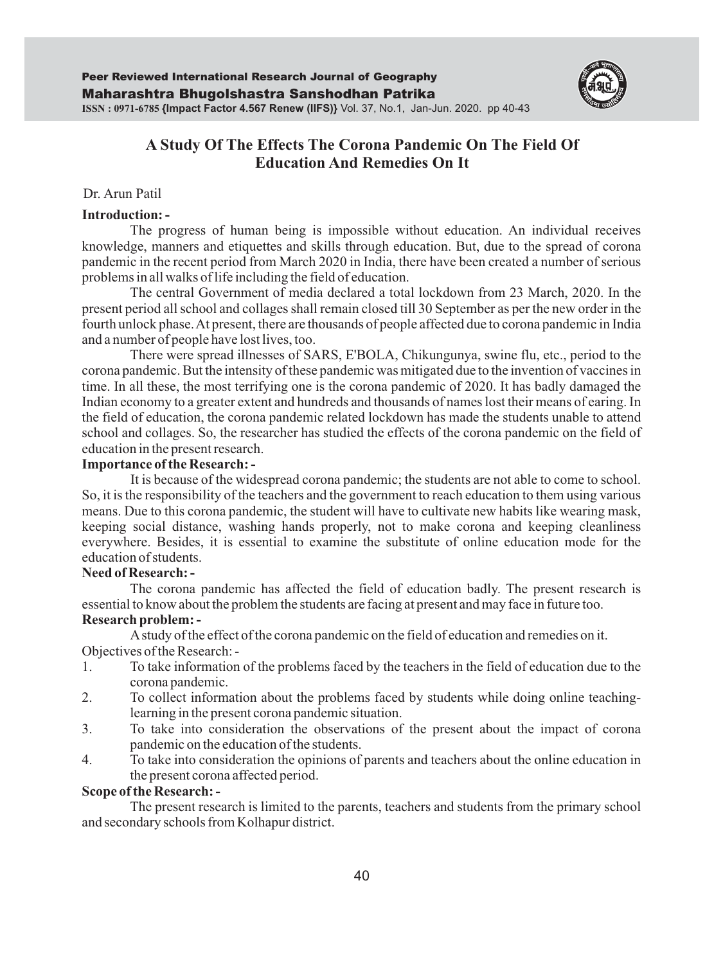

# **A Study Of The Effects The Corona Pandemic On The Field Of Education And Remedies On It**

### Dr. Arun Patil

#### **Introduction: -**

The progress of human being is impossible without education. An individual receives knowledge, manners and etiquettes and skills through education. But, due to the spread of corona pandemic in the recent period from March 2020 in India, there have been created a number of serious problems in all walks of life including the field of education.

The central Government of media declared a total lockdown from 23 March, 2020. In the present period all school and collages shall remain closed till 30 September as per the new order in the fourth unlock phase. At present, there are thousands of people affected due to corona pandemic in India and a number of people have lost lives, too.

There were spread illnesses of SARS, E'BOLA, Chikungunya, swine flu, etc., period to the corona pandemic. But the intensity of these pandemic was mitigated due to the invention of vaccines in time. In all these, the most terrifying one is the corona pandemic of 2020. It has badly damaged the Indian economy to a greater extent and hundreds and thousands of names lost their means of earing. In the field of education, the corona pandemic related lockdown has made the students unable to attend school and collages. So, the researcher has studied the effects of the corona pandemic on the field of education in the present research.

#### **Importance of the Research: -**

It is because of the widespread corona pandemic; the students are not able to come to school. So, it is the responsibility of the teachers and the government to reach education to them using various means. Due to this corona pandemic, the student will have to cultivate new habits like wearing mask, keeping social distance, washing hands properly, not to make corona and keeping cleanliness everywhere. Besides, it is essential to examine the substitute of online education mode for the education of students.

#### **Need of Research: -**

The corona pandemic has affected the field of education badly. The present research is essential to know about the problem the students are facing at present and may face in future too.

#### **Research problem: -**

Astudy of the effect of the corona pandemic on the field of education and remedies on it. Objectives of the Research: -

- 1. To take information of the problems faced by the teachers in the field of education due to the corona pandemic.
- 2. To collect information about the problems faced by students while doing online teachinglearning in the present corona pandemic situation.
- 3. To take into consideration the observations of the present about the impact of corona pandemic on the education of the students.
- 4. To take into consideration the opinions of parents and teachers about the online education in the present corona affected period.

#### **Scope of the Research: -**

The present research is limited to the parents, teachers and students from the primary school and secondary schools from Kolhapur district.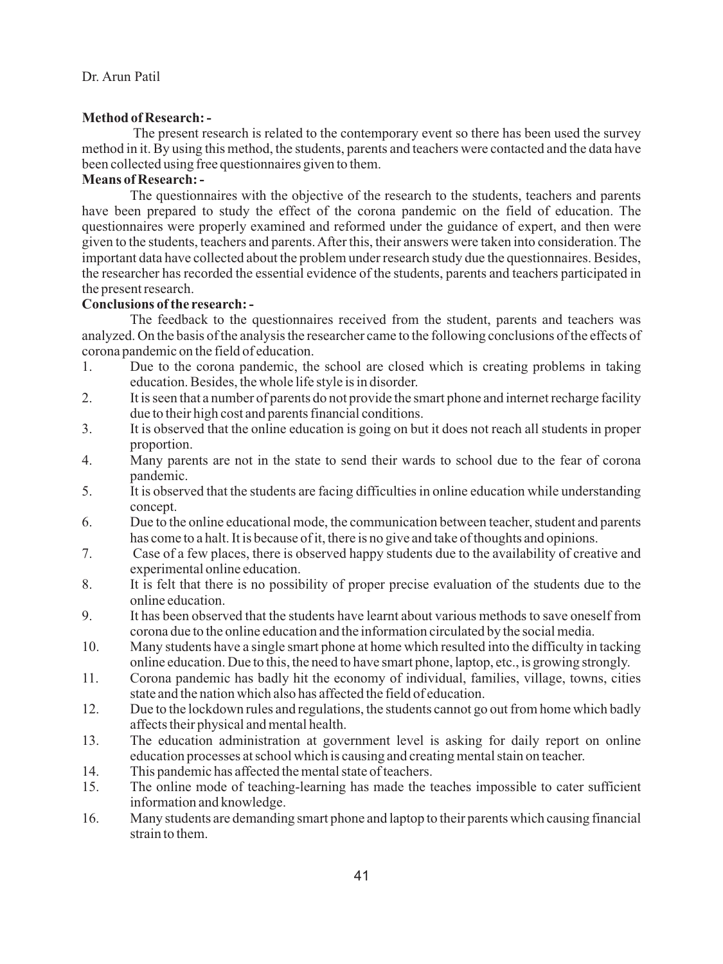### **Method of Research: -**

The present research is related to the contemporary event so there has been used the survey method in it. By using this method, the students, parents and teachers were contacted and the data have been collected using free questionnaires given to them.

### **Means of Research: -**

 The questionnaires with the objective of the research to the students, teachers and parents have been prepared to study the effect of the corona pandemic on the field of education. The questionnaires were properly examined and reformed under the guidance of expert, and then were given to the students, teachers and parents. After this, their answers were taken into consideration. The important data have collected about the problem under research study due the questionnaires. Besides, the researcher has recorded the essential evidence of the students, parents and teachers participated in the present research.

### **Conclusions of the research: -**

 The feedback to the questionnaires received from the student, parents and teachers was analyzed. On the basis of the analysis the researcher came to the following conclusions of the effects of corona pandemic on the field of education.

- 1. Due to the corona pandemic, the school are closed which is creating problems in taking education. Besides, the whole life style is in disorder.
- 2. It is seen that a number of parents do not provide the smart phone and internet recharge facility due to their high cost and parents financial conditions.
- 3. It is observed that the online education is going on but it does not reach all students in proper proportion.
- 4. Many parents are not in the state to send their wards to school due to the fear of corona pandemic.
- 5. It is observed that the students are facing difficulties in online education while understanding concept.
- 6. Due to the online educational mode, the communication between teacher, student and parents has come to a halt. It is because of it, there is no give and take of thoughts and opinions.
- 7. Case of a few places, there is observed happy students due to the availability of creative and experimental online education.
- 8. It is felt that there is no possibility of proper precise evaluation of the students due to the online education.
- 9. It has been observed that the students have learnt about various methods to save oneself from corona due to the online education and the information circulated by the social media.
- 10. Many students have a single smart phone at home which resulted into the difficulty in tacking online education. Due to this, the need to have smart phone, laptop, etc., is growing strongly.
- 11. Corona pandemic has badly hit the economy of individual, families, village, towns, cities state and the nation which also has affected the field of education.
- 12. Due to the lockdown rules and regulations, the students cannot go out from home which badly affects their physical and mental health.
- 13. The education administration at government level is asking for daily report on online education processes at school which is causing and creating mental stain on teacher.
- 14. This pandemic has affected the mental state of teachers.<br>15. The online mode of teaching-learning has made the te
- 15. The online mode of teaching-learning has made the teaches impossible to cater sufficient information and knowledge.
- 16. Many students are demanding smart phone and laptop to their parents which causing financial strain to them.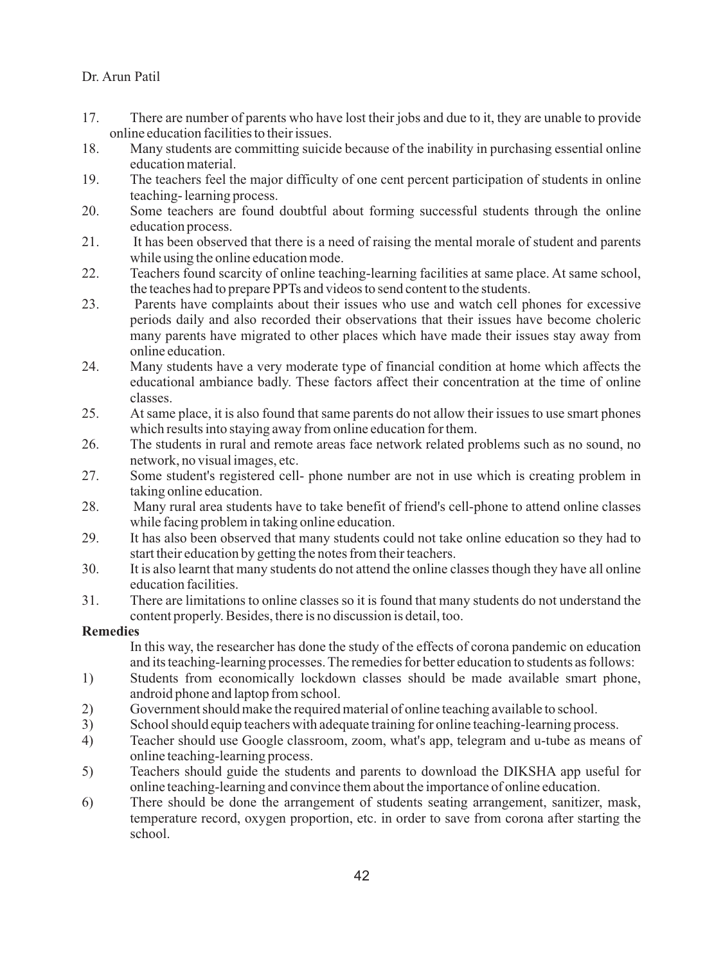- 17. There are number of parents who have lost their jobs and due to it, they are unable to provide online education facilities to their issues.
- 18. Many students are committing suicide because of the inability in purchasing essential online education material.
- 19. The teachers feel the major difficulty of one cent percent participation of students in online teaching- learning process.
- 20. Some teachers are found doubtful about forming successful students through the online education process.
- 21. It has been observed that there is a need of raising the mental morale of student and parents while using the online education mode.
- 22. Teachers found scarcity of online teaching-learning facilities at same place. At same school, the teaches had to prepare PPTs and videos to send content to the students.
- 23. Parents have complaints about their issues who use and watch cell phones for excessive periods daily and also recorded their observations that their issues have become choleric many parents have migrated to other places which have made their issues stay away from online education.
- 24. Many students have a very moderate type of financial condition at home which affects the educational ambiance badly. These factors affect their concentration at the time of online classes.
- 25. At same place, it is also found that same parents do not allow their issues to use smart phones which results into staying away from online education for them.
- 26. The students in rural and remote areas face network related problems such as no sound, no network, no visual images, etc.
- 27. Some student's registered cell- phone number are not in use which is creating problem in taking online education.
- 28. Many rural area students have to take benefit of friend's cell-phone to attend online classes while facing problem in taking online education.
- 29. It has also been observed that many students could not take online education so they had to start their education by getting the notes from their teachers.
- 30. It is also learnt that many students do not attend the online classes though they have all online education facilities.
- 31. There are limitations to online classes so it is found that many students do not understand the content properly. Besides, there is no discussion is detail, too.

### **Remedies**

 In this way, the researcher has done the study of the effects of corona pandemic on education and its teaching-learning processes. The remedies for better education to students as follows:

- 1) Students from economically lockdown classes should be made available smart phone, android phone and laptop from school.
- 2) Government should make the required material of online teaching available to school.
- 3) School should equip teachers with adequate training for online teaching-learning process.
- 4) Teacher should use Google classroom, zoom, what's app, telegram and u-tube as means of online teaching-learning process.
- 5) Teachers should guide the students and parents to download the DIKSHA app useful for online teaching-learning and convince them about the importance of online education.
- 6) There should be done the arrangement of students seating arrangement, sanitizer, mask, temperature record, oxygen proportion, etc. in order to save from corona after starting the school.